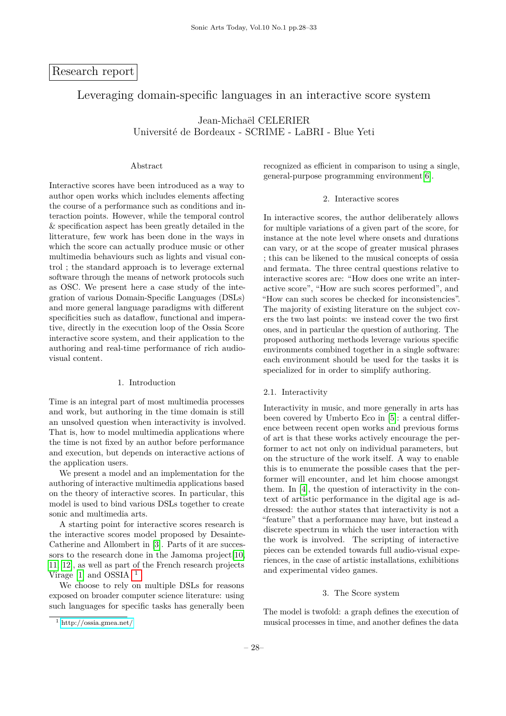# Research report

# Leveraging domain-specific languages in an interactive score system

Jean-Michaël CELERIER Université de Bordeaux - SCRIME - LaBRI - Blue Yeti

## Abstract

Interactive scores have been introduced as a way to author open works which includes elements affecting the course of a performance such as conditions and interaction points. However, while the temporal control & specification aspect has been greatly detailed in the litterature, few work has been done in the ways in which the score can actually produce music or other multimedia behaviours such as lights and visual control ; the standard approach is to leverage external software through the means of network protocols such as OSC. We present here a case study of the integration of various Domain-Specific Languages (DSLs) and more general language paradigms with different specificities such as dataflow, functional and imperative, directly in the execution loop of the Ossia Score interactive score system, and their application to the authoring and real-time performance of rich audiovisual content.

#### 1. Introduction

Time is an integral part of most multimedia processes and work, but authoring in the time domain is still an unsolved question when interactivity is involved. That is, how to model multimedia applications where the time is not fixed by an author before performance and execution, but depends on interactive actions of the application users.

We present a model and an implementation for the authoring of interactive multimedia applications based on the theory of interactive scores. In particular, this model is used to bind various DSLs together to create sonic and multimedia arts.

A starting point for interactive scores research is the interactive scores model proposed by Desainte-Catherine and Allombert in [\[3\]](#page-5-0). Parts of it are succes-sors to the research done in the Jamoma project [\[10,](#page-5-1) [11,](#page-5-2) [12\]](#page-5-3), as well as part of the French research projects Virage [\[1\]](#page-5-4) and OSSIA  $^{-1}$  $^{-1}$  $^{-1}$ .

We choose to rely on multiple DSLs for reasons exposed on broader computer science literature: using such languages for specific tasks has generally been recognized as efficient in comparison to using a single, general-purpose programming environment[\[6\]](#page-5-5).

#### 2. Interactive scores

In interactive scores, the author deliberately allows for multiple variations of a given part of the score, for instance at the note level where onsets and durations can vary, or at the scope of greater musical phrases ; this can be likened to the musical concepts of ossia and fermata. The three central questions relative to interactive scores are: "How does one write an interactive score", "How are such scores performed", and "How can such scores be checked for inconsistencies". The majority of existing literature on the subject covers the two last points: we instead cover the two first ones, and in particular the question of authoring. The proposed authoring methods leverage various specific environments combined together in a single software: each environment should be used for the tasks it is specialized for in order to simplify authoring.

#### 2.1. Interactivity

Interactivity in music, and more generally in arts has been covered by Umberto Eco in [\[5\]](#page-5-6): a central difference between recent open works and previous forms of art is that these works actively encourage the performer to act not only on individual parameters, but on the structure of the work itself. A way to enable this is to enumerate the possible cases that the performer will encounter, and let him choose amongst them. In [\[4\]](#page-5-7), the question of interactivity in the context of artistic performance in the digital age is addressed: the author states that interactivity is not a "feature" that a performance may have, but instead a discrete spectrum in which the user interaction with the work is involved. The scripting of interactive pieces can be extended towards full audio-visual experiences, in the case of artistic installations, exhibitions and experimental video games.

### 3. The Score system

The model is twofold: a graph defines the execution of musical processes in time, and another defines the data

<span id="page-0-0"></span><sup>1</sup> <http://ossia.gmea.net/>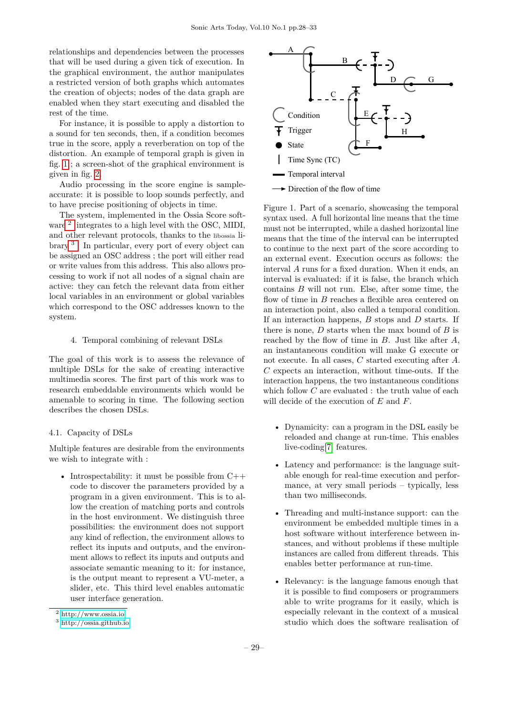relationships and dependencies between the processes that will be used during a given tick of execution. In the graphical environment, the author manipulates a restricted version of both graphs which automates the creation of objects; nodes of the data graph are enabled when they start executing and disabled the rest of the time.

For instance, it is possible to apply a distortion to a sound for ten seconds, then, if a condition becomes true in the score, apply a reverberation on top of the distortion. An example of temporal graph is given in fig. [1](#page-1-0) ; a screen-shot of the graphical environment is given in fig. [2.](#page-2-0)

Audio processing in the score engine is sampleaccurate: it is possible to loop sounds perfectly, and to have precise positioning of objects in time.

The system, implemented in the Ossia Score soft-ware <sup>[2](#page-1-1)</sup> integrates to a high level with the OSC, MIDI, and other relevant protocols, thanks to the libossia library [3](#page-1-2) . In particular, every port of every object can be assigned an OSC address ; the port will either read or write values from this address. This also allows processing to work if not all nodes of a signal chain are active: they can fetch the relevant data from either local variables in an environment or global variables which correspond to the OSC addresses known to the system.

## 4. Temporal combining of relevant DSLs

The goal of this work is to assess the relevance of multiple DSLs for the sake of creating interactive multimedia scores. The first part of this work was to research embeddable environments which would be amenable to scoring in time. The following section describes the chosen DSLs.

#### 4.1. Capacity of DSLs

Multiple features are desirable from the environments we wish to integrate with :

• Introspectability: it must be possible from C++ code to discover the parameters provided by a program in a given environment. This is to allow the creation of matching ports and controls in the host environment. We distinguish three possibilities: the environment does not support any kind of reflection, the environment allows to reflect its inputs and outputs, and the environment allows to reflect its inputs and outputs and associate semantic meaning to it: for instance, is the output meant to represent a VU-meter, a slider, etc. This third level enables automatic user interface generation.



<span id="page-1-0"></span>Figure 1. Part of a scenario, showcasing the temporal syntax used. A full horizontal line means that the time must not be interrupted, while a dashed horizontal line means that the time of the interval can be interrupted to continue to the next part of the score according to an external event. Execution occurs as follows: the interval A runs for a fixed duration. When it ends, an interval is evaluated: if it is false, the branch which contains  $B$  will not run. Else, after some time, the flow of time in  $B$  reaches a flexible area centered on an interaction point, also called a temporal condition. If an interaction happens,  $B$  stops and  $D$  starts. If there is none,  $D$  starts when the max bound of  $B$  is reached by the flow of time in B. Just like after A, an instantaneous condition will make G execute or not execute. In all cases, C started executing after A. C expects an interaction, without time-outs. If the interaction happens, the two instantaneous conditions which follow  $C$  are evaluated : the truth value of each will decide of the execution of E and F.

- Dynamicity: can a program in the DSL easily be reloaded and change at run-time. This enables live-coding[\[7\]](#page-5-8) features.
- Latency and performance: is the language suitable enough for real-time execution and performance, at very small periods – typically, less than two milliseconds.
- Threading and multi-instance support: can the environment be embedded multiple times in a host software without interference between instances, and without problems if these multiple instances are called from different threads. This enables better performance at run-time.
- Relevancy: is the language famous enough that it is possible to find composers or programmers able to write programs for it easily, which is especially relevant in the context of a musical studio which does the software realisation of

<span id="page-1-1"></span><sup>2</sup> <http://www.ossia.io>

<span id="page-1-2"></span><sup>3</sup> <http://ossia.github.io>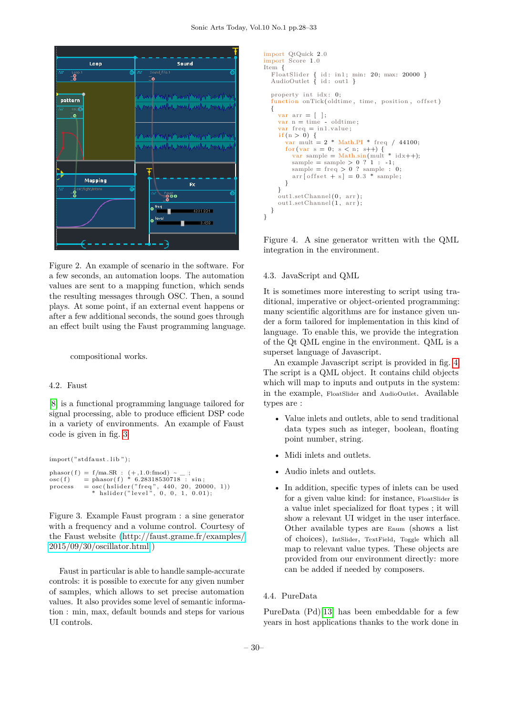

<span id="page-2-0"></span>Figure 2. An example of scenario in the software. For a few seconds, an automation loops. The automation values are sent to a mapping function, which sends the resulting messages through OSC. Then, a sound plays. At some point, if an external event happens or after a few additional seconds, the sound goes through an effect built using the Faust programming language.

#### compositional works.

#### 4.2. Faust

[\[8\]](#page-5-9) is a functional programming language tailored for signal processing, able to produce efficient DSP code in a variety of environments. An example of Faust code is given in fig. [3](#page-2-1)

```
import("std faults. lib");phasor (f) = f/ma.R : (+, 1.0 :fmod) \sim _;<br>osc (f) = phasor(f) * 6.28318530718 : sin;
\begin{array}{rcl} \text{process} & = \text{osc}(\text{hslider("freq", 440, 20, 20000, 1})) \\ & * & \text{hslider("level", 0, 0, 1, 0.01)}; \end{array}
```
<span id="page-2-1"></span>Figure 3. Example Faust program : a sine generator with a frequency and a volume control. Courtesy of the Faust website [\(http://faust.grame.fr/examples/](http://faust.grame.fr/examples/2015/09/30/oscillator.html) [2015/09/30/oscillator.html](http://faust.grame.fr/examples/2015/09/30/oscillator.html) )

Faust in particular is able to handle sample-accurate controls: it is possible to execute for any given number of samples, which allows to set precise automation values. It also provides some level of semantic information : min, max, default bounds and steps for various UI controls.

```
import QtQuick 2.0
import Score 1.0
Item {
   FloatSlider { id: in1; min: 20; max: 20000 }<br>AudioOutlet { id: out1 }
   property int idx: 0;
   function onTick(oldtime, time, position, offset)
   {
     var \text{arr} = [ ;<br>var \text{n} = \text{time} - oldtime;
     var freq = in1.value;
      if (n > 0) {
         v_{\text{car}} mult = 2 * Math.PI * freq / 44100;
        for (var s = 0; s < n; s++) {<br>var sample = Math.sin(mult * idx++);
           sample = sample > 0 ? 1 : -1;
           sample = freq > 0 ? sample : 0;<br>arr [offset + s] = 0.3 * sample;
        }
     }
     out1.setChannel(0, arr);
     out1.setChannel(1, arr);}
}
```
<span id="page-2-2"></span>Figure 4. A sine generator written with the QML integration in the environment.

#### 4.3. JavaScript and QML

It is sometimes more interesting to script using traditional, imperative or object-oriented programming: many scientific algorithms are for instance given under a form tailored for implementation in this kind of language. To enable this, we provide the integration of the Qt QML engine in the environment. QML is a superset language of Javascript.

An example Javascript script is provided in fig. [4.](#page-2-2) The script is a QML object. It contains child objects which will map to inputs and outputs in the system: in the example, FloatSlider and AudioOutlet. Available types are :

- Value inlets and outlets, able to send traditional data types such as integer, boolean, floating point number, string.
- Midi inlets and outlets.
- Audio inlets and outlets.
- In addition, specific types of inlets can be used for a given value kind: for instance, FloatSlider is a value inlet specialized for float types ; it will show a relevant UI widget in the user interface. Other available types are Enum (shows a list of choices), IntSlider, TextField, Toggle which all map to relevant value types. These objects are provided from our environment directly: more can be added if needed by composers.

### 4.4. PureData

PureData (Pd)[\[13\]](#page-5-10) has been embeddable for a few years in host applications thanks to the work done in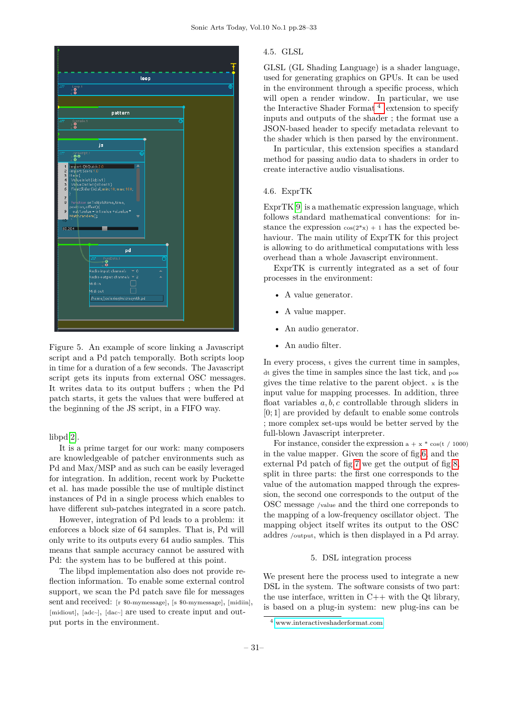

Figure 5. An example of score linking a Javascript script and a Pd patch temporally. Both scripts loop in time for a duration of a few seconds. The Javascript script gets its inputs from external OSC messages. It writes data to its output buffers ; when the Pd patch starts, it gets the values that were buffered at the beginning of the JS script, in a FIFO way.

## libpd[\[2\]](#page-5-11).

It is a prime target for our work: many composers are knowledgeable of patcher environments such as Pd and Max/MSP and as such can be easily leveraged for integration. In addition, recent work by Puckette et al. has made possible the use of multiple distinct instances of Pd in a single process which enables to have different sub-patches integrated in a score patch.

However, integration of Pd leads to a problem: it enforces a block size of 64 samples. That is, Pd will only write to its outputs every 64 audio samples. This means that sample accuracy cannot be assured with Pd: the system has to be buffered at this point.

The libpd implementation also does not provide reflection information. To enable some external control support, we scan the Pd patch save file for messages sent and received: [r \$0-mymessage], [s \$0-mymessage], [midiin], [midiout], [adc~], [dac~] are used to create input and output ports in the environment.

## 4.5. GLSL

GLSL (GL Shading Language) is a shader language, used for generating graphics on GPUs. It can be used in the environment through a specific process, which will open a render window. In particular, we use the Interactive Shader Format<sup>[4](#page-3-0)</sup> extension to specify inputs and outputs of the shader ; the format use a JSON-based header to specify metadata relevant to the shader which is then parsed by the environment.

In particular, this extension specifies a standard method for passing audio data to shaders in order to create interactive audio visualisations.

# 4.6. ExprTK

ExprTK[\[9\]](#page-5-12) is a mathematic expression language, which follows standard mathematical conventions: for instance the expression  $cos(2*x) + 1$  has the expected behaviour. The main utility of ExprTK for this project is allowing to do arithmetical computations with less overhead than a whole Javascript environment.

ExprTK is currently integrated as a set of four processes in the environment:

- A value generator.
- A value mapper.
- An audio generator.
- An audio filter.

In every process, <sup>t</sup> gives the current time in samples, dt gives the time in samples since the last tick, and pos gives the time relative to the parent object. <sup>x</sup> is the input value for mapping processes. In addition, three float variables  $a, b, c$  controllable through sliders in [0; 1] are provided by default to enable some controls ; more complex set-ups would be better served by the full-blown Javascript interpreter.

For instance, consider the expression  $a + x * cos(t / 1000)$ in the value mapper. Given the score of fig[.6,](#page-4-0) and the external Pd patch of fig[.7](#page-4-1) we get the output of fig[.8,](#page-4-2) split in three parts: the first one corresponds to the value of the automation mapped through the expression, the second one corresponds to the output of the OSC message /value and the third one correponds to the mapping of a low-frequency oscillator object. The mapping object itself writes its output to the OSC addres /output, which is then displayed in a Pd array.

#### 5. DSL integration process

We present here the process used to integrate a new DSL in the system. The software consists of two part: the use interface, written in  $C++$  with the Qt library, is based on a plug-in system: new plug-ins can be

<span id="page-3-0"></span><sup>4</sup> <www.interactiveshaderformat.com>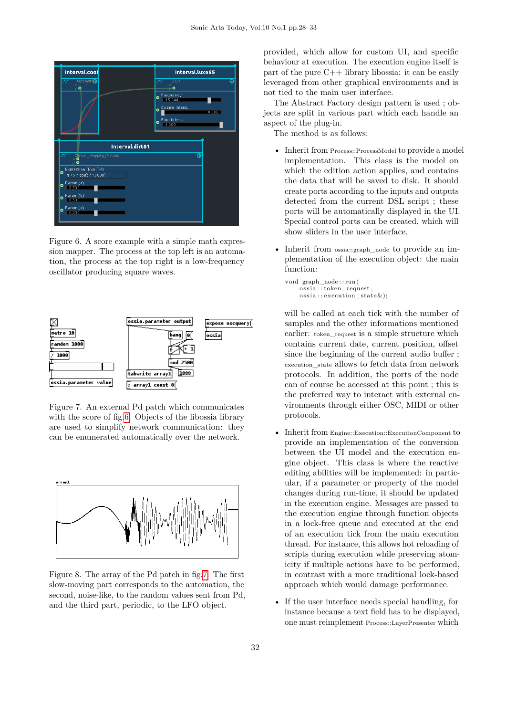

<span id="page-4-0"></span>Figure 6. A score example with a simple math expression mapper. The process at the top left is an automation, the process at the top right is a low-frequency oscillator producing square waves.



<span id="page-4-1"></span>Figure 7. An external Pd patch which communicates with the score of fig[.6.](#page-4-0) Objects of the libossia library are used to simplify network communication: they can be enumerated automatically over the network.



<span id="page-4-2"></span>Figure 8. The array of the Pd patch in fig[.7.](#page-4-1) The first slow-moving part corresponds to the automation, the second, noise-like, to the random values sent from Pd, and the third part, periodic, to the LFO object.

provided, which allow for custom UI, and specific behaviour at execution. The execution engine itself is part of the pure C++ library libossia: it can be easily leveraged from other graphical environments and is not tied to the main user interface.

The Abstract Factory design pattern is used ; objects are split in various part which each handle an aspect of the plug-in.

The method is as follows:

- Inherit from Process::ProcessModel to provide a model implementation. This class is the model on which the edition action applies, and contains the data that will be saved to disk. It should create ports according to the inputs and outputs detected from the current DSL script ; these ports will be automatically displayed in the UI. Special control ports can be created, which will show sliders in the user interface.
- Inherit from ossia::graph\_node to provide an implementation of the execution object: the main function:

```
void graph_node : : run(
     oss ia : : token_request ,
     \overline{\text{ossia}} : execution state \&);
```
will be called at each tick with the number of samples and the other informations mentioned earlier: token request is a simple structure which contains current date, current position, offset since the beginning of the current audio buffer ; execution\_state allows to fetch data from network protocols. In addition, the ports of the node can of course be accessed at this point ; this is the preferred way to interact with external environments through either OSC, MIDI or other protocols.

- Inherit from Engine::Execution::ExecutionComponent to provide an implementation of the conversion between the UI model and the execution engine object. This class is where the reactive editing abilities will be implemented: in particular, if a parameter or property of the model changes during run-time, it should be updated in the execution engine. Messages are passed to the execution engine through function objects in a lock-free queue and executed at the end of an execution tick from the main execution thread. For instance, this allows hot reloading of scripts during execution while preserving atomicity if multiple actions have to be performed, in contrast with a more traditional lock-based approach which would damage performance.
- If the user interface needs special handling, for instance because a text field has to be displayed, one must reimplement Process::LayerPresenter which